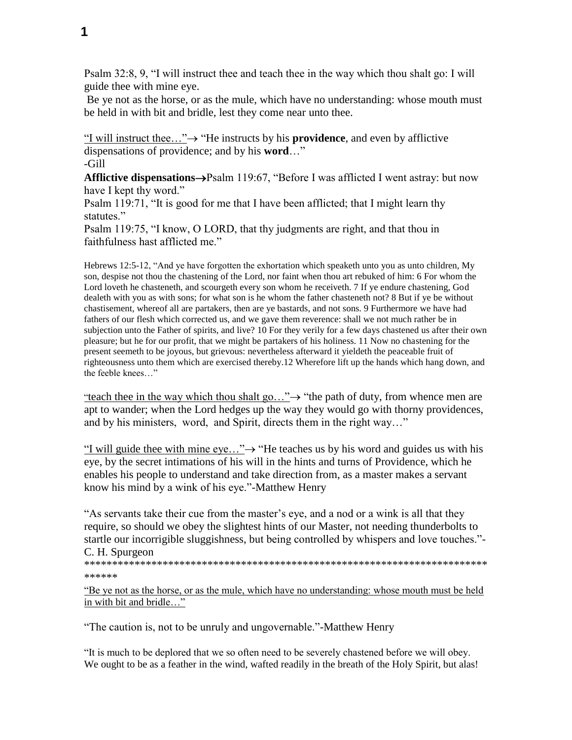Psalm 32:8, 9, "I will instruct thee and teach thee in the way which thou shalt go: I will guide thee with mine eye.

Be ye not as the horse, or as the mule, which have no understanding: whose mouth must be held in with bit and bridle, lest they come near unto thee.

"I will instruct thee..." $\rightarrow$  "He instructs by his **providence**, and even by afflictive dispensations of providence; and by his **word**…"

-Gill

**Afflictive dispensations**  $\rightarrow$  Psalm 119:67, "Before I was afflicted I went astray: but now have I kept thy word."

Psalm 119:71, "It is good for me that I have been afflicted; that I might learn thy statutes."

Psalm 119:75, "I know, O LORD, that thy judgments are right, and that thou in faithfulness hast afflicted me."

Hebrews 12:5-12, "And ye have forgotten the exhortation which speaketh unto you as unto children, My son, despise not thou the chastening of the Lord, nor faint when thou art rebuked of him: 6 For whom the Lord loveth he chasteneth, and scourgeth every son whom he receiveth. 7 If ye endure chastening, God dealeth with you as with sons; for what son is he whom the father chasteneth not? 8 But if ye be without chastisement, whereof all are partakers, then are ye bastards, and not sons. 9 Furthermore we have had fathers of our flesh which corrected us, and we gave them reverence: shall we not much rather be in subjection unto the Father of spirits, and live? 10 For they verily for a few days chastened us after their own pleasure; but he for our profit, that we might be partakers of his holiness. 11 Now no chastening for the present seemeth to be joyous, but grievous: nevertheless afterward it yieldeth the peaceable fruit of righteousness unto them which are exercised thereby.12 Wherefore lift up the hands which hang down, and the feeble knees…"

"teach thee in the way which thou shalt go..." $\rightarrow$  "the path of duty, from whence men are apt to wander; when the Lord hedges up the way they would go with thorny providences, and by his ministers, word, and Spirit, directs them in the right way…"

"I will guide thee with mine eye..." $\rightarrow$  "He teaches us by his word and guides us with his eye, by the secret intimations of his will in the hints and turns of Providence, which he enables his people to understand and take direction from, as a master makes a servant know his mind by a wink of his eye."-Matthew Henry

"As servants take their cue from the master's eye, and a nod or a wink is all that they require, so should we obey the slightest hints of our Master, not needing thunderbolts to startle our incorrigible sluggishness, but being controlled by whispers and love touches."- C. H. Spurgeon

\*\*\*\*\*\*\*\*\*\*\*\*\*\*\*\*\*\*\*\*\*\*\*\*\*\*\*\*\*\*\*\*\*\*\*\*\*\*\*\*\*\*\*\*\*\*\*\*\*\*\*\*\*\*\*\*\*\*\*\*\*\*\*\*\*\*\*\*\*\*\*\* \*\*\*\*\*\*

"Be ye not as the horse, or as the mule, which have no understanding: whose mouth must be held in with bit and bridle…"

"The caution is, not to be unruly and ungovernable."-Matthew Henry

"It is much to be deplored that we so often need to be severely chastened before we will obey. We ought to be as a feather in the wind, wafted readily in the breath of the Holy Spirit, but alas!

**1**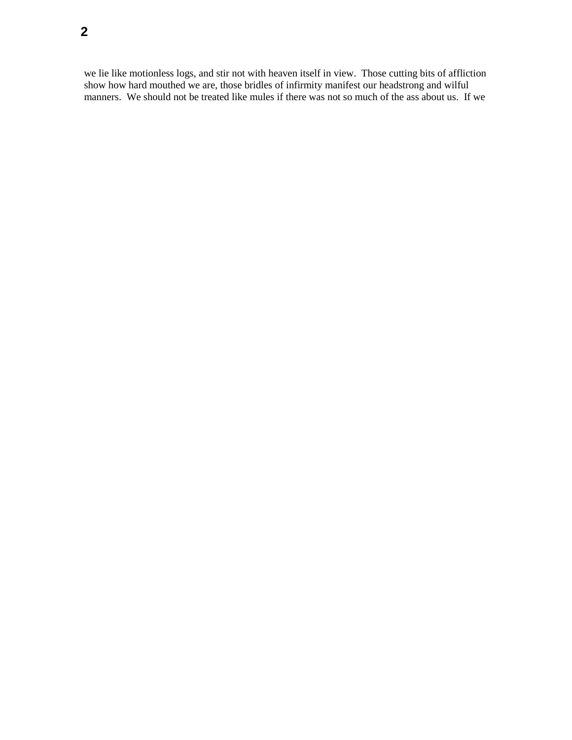we lie like motionless logs, and stir not with heaven itself in view. Those cutting bits of affliction show how hard mouthed we are, those bridles of infirmity manifest our headstrong and wilful manners. We should not be treated like mules if there was not so much of the ass about us. If we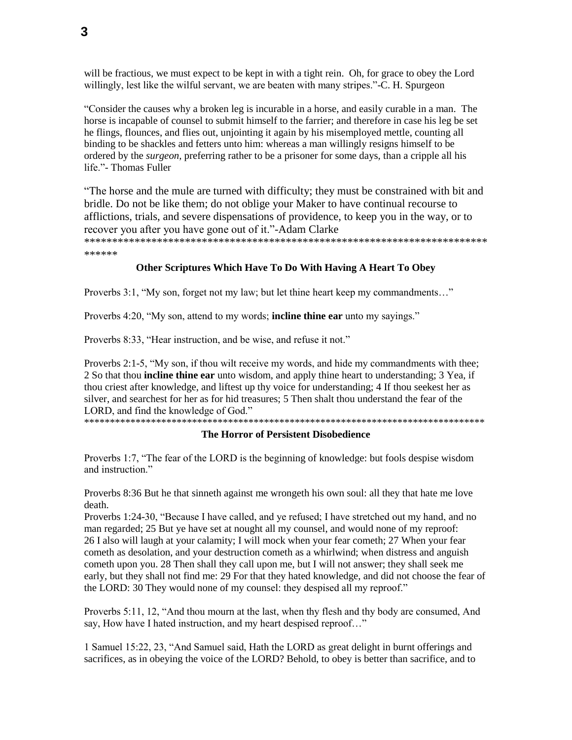will be fractious, we must expect to be kept in with a tight rein. Oh, for grace to obey the Lord willingly, lest like the wilful servant, we are beaten with many stripes."-C. H. Spurgeon

"Consider the causes why a broken leg is incurable in a horse, and easily curable in a man. The horse is incapable of counsel to submit himself to the farrier; and therefore in case his leg be set he flings, flounces, and flies out, unjointing it again by his misemployed mettle, counting all binding to be shackles and fetters unto him: whereas a man willingly resigns himself to be ordered by the *surgeon*, preferring rather to be a prisoner for some days, than a cripple all his life."- Thomas Fuller

"The horse and the mule are turned with difficulty; they must be constrained with bit and bridle. Do not be like them; do not oblige your Maker to have continual recourse to afflictions, trials, and severe dispensations of providence, to keep you in the way, or to recover you after you have gone out of it."-Adam Clarke

\*\*\*\*\*\*

# Other Scriptures Which Have To Do With Having A Heart To Obey

Proverbs 3:1, "My son, forget not my law; but let thine heart keep my commandments..."

Proverbs 4:20, "My son, attend to my words; **incline thine ear** unto my sayings."

Proverbs 8:33, "Hear instruction, and be wise, and refuse it not."

Proverbs 2:1-5, "My son, if thou wilt receive my words, and hide my commandments with thee; 2 So that thou **incline thine ear** unto wisdom, and apply thine heart to understanding; 3 Yea, if thou criest after knowledge, and liftest up thy voice for understanding; 4 If thou seekest her as silver, and searchest for her as for hid treasures; 5 Then shalt thou understand the fear of the LORD, and find the knowledge of God."

### The Horror of Persistent Disobedience

Proverbs 1:7, "The fear of the LORD is the beginning of knowledge: but fools despise wisdom and instruction."

Proverbs 8:36 But he that sinneth against me wrongeth his own soul: all they that hate me love death.

Proverbs 1:24-30, "Because I have called, and ye refused; I have stretched out my hand, and no man regarded; 25 But ye have set at nought all my counsel, and would none of my reproof: 26 I also will laugh at your calamity; I will mock when your fear cometh; 27 When your fear cometh as desolation, and your destruction cometh as a whirlwind; when distress and anguish cometh upon you. 28 Then shall they call upon me, but I will not answer; they shall seek me early, but they shall not find me: 29 For that they hated knowledge, and did not choose the fear of the LORD: 30 They would none of my counsel: they despised all my reproof."

Proverbs 5:11, 12, "And thou mourn at the last, when thy flesh and thy body are consumed, And say, How have I hated instruction, and my heart despised reproof..."

1 Samuel 15:22, 23, "And Samuel said, Hath the LORD as great delight in burnt offerings and sacrifices, as in obeying the voice of the LORD? Behold, to obey is better than sacrifice, and to